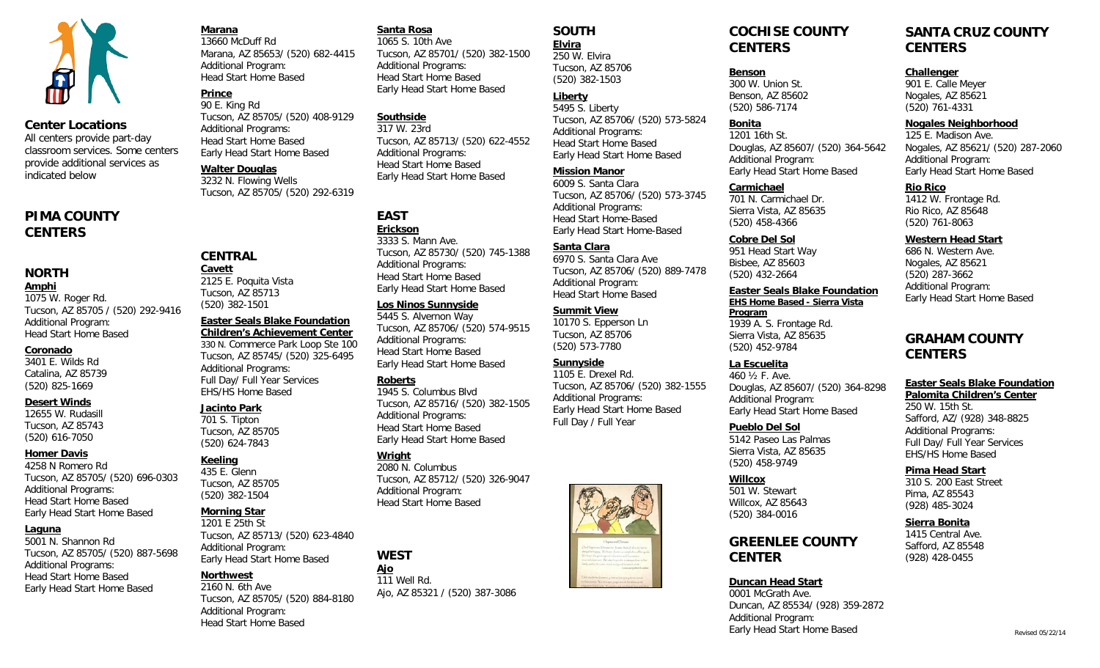

#### **Center Locations**

All centers provide part-day classroom services. Some centers provide additional services as indicated below

### **PIMA COUNTY CENTERS**

### **NORTH**

#### **Amphi**

1075 W. Roger Rd. Tucson, AZ 85705 / (520) 292-9416 Additional Program: Head Start Home Based

#### **Coronado**

3401 E. Wilds Rd Catalina, AZ 85739 (520) 825-1669

#### **Desert Winds**

12655 W. Rudasill Tucson, AZ 85743 (520) 616-7050

#### **Homer Davis**

4258 N Romero Rd Tucson, AZ 85705/ (520) 696-0303 Additional Programs: Head Start Home Based Early Head Start Home Based

#### **Laguna**

5001 N. Shannon Rd Tucson, AZ 85705/ (520) 887-5698 Additional Programs: Head Start Home Based Early Head Start Home Based

# **Marana**

13660 McDuff Rd Marana, AZ 85653/ (520) 682-4415 Additional Program: Head Start Home Based

#### **Prince** 90 E. King Rd

Tucson, AZ 85705/ (520) 408-9129 Additional Programs: Head Start Home Based Early Head Start Home Based

#### **Walter Douglas**

**CENTRAL Cavett**

2125 E. Poquita Vista Tucson, AZ 85713 (520) 382-1501

Additional Programs: Full Day/ Full Year Services EHS/HS Home Based

**Jacinto Park** 701 S. Tipton Tucson, AZ 85705 (520) 624-7843

**Keeling** 435 E. Glenn Tucson, AZ 85705 (520) 382-1504 **Morning Star** 1201 E 25th St

3232 N. Flowing Wells Tucson, AZ 85705/ (520) 292-6319

**Easter Seals Blake Foundation Children's Achievement Center** 330 N. Commerce Park Loop Ste 100 Tucson, AZ 85745/ (520) 325-6495

Tucson, AZ 85713/ (520) 623-4840

Tucson, AZ 85705/ (520) 884-8180

Early Head Start Home Based

Additional Program:

Additional Program: Head Start Home Based

**Northwest** 2160 N. 6th Ave

3333 S. Mann Ave. Tucson, AZ 85730/ (520) 745-1388 Additional Programs: Head Start Home Based Early Head Start Home Based

Tucson, AZ 85701/ (520) 382-1500

Tucson, AZ 85713/ (520) 622-4552

#### **Los Ninos Sunnyside**

**Santa Rosa** 1065 S. 10th Ave

**Southside** 317 W. 23rd

**EAST Erickson**

Additional Programs: Head Start Home Based Early Head Start Home Based

Additional Programs: Head Start Home Based Early Head Start Home Based

5445 S. Alvernon Way Tucson, AZ 85706/ (520) 574-9515 Additional Programs: Head Start Home Based Early Head Start Home Based

#### **Roberts**

1945 S. Columbus Blvd Tucson, AZ 85716/ (520) 382-1505 Additional Programs: Head Start Home Based Early Head Start Home Based

#### **Wright**

2080 N. Columbus Tucson, AZ 85712/ (520) 326-9047 Additional Program: Head Start Home Based

### **WEST**

**Ajo** 111 Well Rd. Ajo, AZ 85321 / (520) 387-3086

### **SOUTH**

### **Elvira**

250 W. Elvira Tucson, AZ 85706 (520) 382-1503

### **Liberty**

5495 S. Liberty Tucson, AZ 85706/ (520) 573-5824 Additional Programs: Head Start Home Based Early Head Start Home Based

#### **Mission Manor**

6009 S. Santa Clara Tucson, AZ 85706/ (520) 573-3745 Additional Programs: Head Start Home-Based Early Head Start Home-Based

#### **Santa Clara**

6970 S. Santa Clara Ave Tucson, AZ 85706/ (520) 889-7478 Additional Program: Head Start Home Based

#### **Summit View**

10170 S. Epperson Ln Tucson, AZ 85706 (520) 573-7780

### **Sunnyside**

1105 E. Drexel Rd. Tucson, AZ 85706/ (520) 382-1555 Additional Programs: Early Head Start Home Based Full Day / Full Year



### **COCHISE COUNTY CENTERS**

#### **Benson**

300 W. Union St. Benson, AZ 85602 (520) 586-7174

#### **Bonita** 1201 16th St.

Douglas, AZ 85607/ (520) 364-5642 Additional Program: Early Head Start Home Based

#### **Carmichael**

701 N. Carmichael Dr. Sierra Vista, AZ 85635 (520) 458-4366

#### **Cobre Del Sol**

951 Head Start Way Bisbee, AZ 85603 (520) 432-2664

#### **Easter Seals Blake Foundation EHS Home Based - Sierra Vista Program**

1939 A. S. Frontage Rd. Sierra Vista, AZ 85635 (520) 452-9784

#### **La Escuelita**

460 ½ F. Ave. Douglas, AZ 85607/ (520) 364-8298 Additional Program: Early Head Start Home Based

#### **Pueblo Del Sol**

5142 Paseo Las Palmas Sierra Vista, AZ 85635 (520) 458-9749

**Willcox** 501 W. Stewart Willcox, AZ 85643 (520) 384-0016

### **GREENLEE COUNTY CENTER**

#### **Duncan Head Start**

0001 McGrath Ave. Duncan, AZ 85534/ (928) 359-2872 Additional Program: Early Head Start Home Based

### **SANTA CRUZ COUNTY CENTERS**

#### **Challenger**

901 E. Calle Meyer Nogales, AZ 85621 (520) 761-4331

#### **Nogales Neighborhood**

125 E. Madison Ave. Nogales, AZ 85621/ (520) 287-2060 Additional Program: Early Head Start Home Based

#### **Rio Rico**

1412 W. Frontage Rd. Rio Rico, AZ 85648 (520) 761-8063

### **Western Head Start**

686 N. Western Ave. Nogales, AZ 85621 (520) 287-3662 Additional Program: Early Head Start Home Based

### **GRAHAM COUNTY CENTERS**

#### **Easter Seals Blake Foundation**

**Palomita Children's Center** 250 W. 15th St. Safford, AZ/ (928) 348-8825 Additional Programs: Full Day/ Full Year Services EHS/HS Home Based

#### **Pima Head Start**

310 S. 200 East Street Pima, AZ 85543 (928) 485-3024

#### **Sierra Bonita**

1415 Central Ave. Safford, AZ 85548 (928) 428-0455